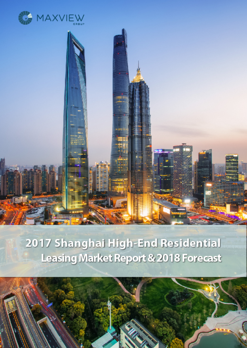



# 2017 Shanghai High-End Residential **Leasing Market Report & 2018 Forecast**

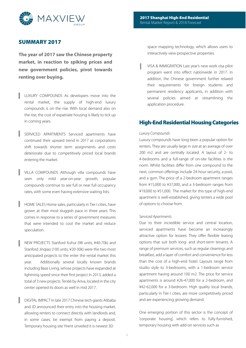

# **SUMMARY 2017**

**The year of 2017 saw the Chinese property market, in reaction to spiking prices and new government policies, pivot towards renting over buying.**

- LUXURY COMPOUNDS As developers move into the rental market, the supply of high-end luxury compounds is on the rise. With local demand also on the rise, the cost of expatriate housing is likely to tick up in coming years.
- SERVICED APARTMENTS Serviced apartments have continued their upward trend in 2017 as corporations shift towards shorter term assignments and costs deteriorate due to competitively priced local brands entering the market.
- VILLA COMPOUNDS Although villa compounds have seen only mild year-on-year growth, popular compounds continue to see full or near full occupancy rates, with some even having extensive waiting lists.
- HOME SALES Home sales, particularly in Tier I cities, have grown at their most sluggish pace in three years. This comes in response to a series of government measures that were intended to cool the market and reduce speculation.
- NEW PROJECTS Stanford Xuhui (98 units, ¥40-70k) and Stanford Jinqiao (100 units, ¥20-30k) were the two most anticipated projects to the enter the rental market this year. Additionally several locally known brands including Base Living, whose projects have expanded at lightning speed since their first project in 2013, added a total of 3 new projects. Ten66 by Ariva, located in the city center opened its doors as well in mid 2017.
- DIGITAL IMPACT In late 2017 Chinese tech giants Alibaba and JD announced their entry into the housing market, allowing renters to connect directly with landlords and, in some cases, be exempt from paying a deposit. Temporary housing site Yirent unveiled it is newest 3D

space mapping technology, which allows users to interactively view prospective properties.

VISA & IMMIGRATION Last year's new work visa pilot program went into effect nationwide in 2017. In addition, the Chinese government further relaxed their requirements for foreign students and permanent residency applicants, in addition with several policies aimed at streamlining the application procedure.

## **High-End Residential Housing Categories**

## Luxury Compounds

Luxury compounds have long been a popular option for renters. They are usually large in size at an average of over 200 m2 and are centrally located. A layout of 2- to 4-bedrooms and a full-range of on-site facilities is the norm. Whilst facilities differ from one compound to the next, common offerings include 24-hour security, a pool, and a gym. The price of a 2-bedroom apartment ranges from ¥15,000 to ¥37,000, and a 3-bedroom ranges from ¥19,000 to ¥51,000. The market for this type of high-end apartment is well-established, giving renters a wide pool of options to choose from.

## Serviced Apartments

Due to their incredible service and central location, serviced apartments have become an increasingly attractive option for lessees. They offer flexible leasing options that suit both long- and short-term tenants. A range of premium services, such as regular cleanings and breakfast, add a layer of comfort and convenience for less than the cost of a high-end hotel. Layouts range from studio style to 3-bedrooms, with a 1-bedroom service apartment having around 100 m2. The price for service apartments is around ¥26-47,000 for a 2-bedroom, and ¥42-62,000 for a 3-bedroom. High quality local brands, particularly in Tier I cities, are more competitively priced and are experiencing growing demand.

One emerging portion of this sector is the concept of 'corporate housing', which refers to fully-furnished, temporary housing with add-on services such as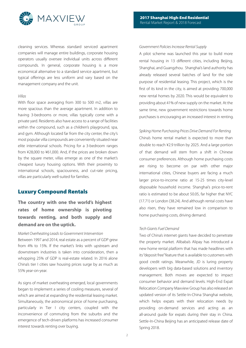

cleaning services. Whereas standard serviced apartment companies will manage entire buildings, corporate housing operators usually oversee individual units across different compounds. In general, corporate housing is a more economical alternative to a standard service apartment, but typical offerings are less uniform and vary based on the management company and the unit.

#### Villas

With floor space averaging from 300 to 500 m2, villas are more spacious than the average apartment. In addition to having 3-bedrooms or more, villas typically come with a private yard. Residents also have access to a range of facilities within the compound, such as a children's playground, spa, and gym. Although located far from the city center, the city's most popular villa compounds are conveniently situated near elite international schools. Pricing for a 3-bedroom ranges from ¥28,000 to ¥61,000. And, if the prices are broken down by the square meter, villas emerge as one of the market's cheapest luxury housing options. With their proximity to international schools, spaciousness, and cut-rate pricing, villas are particularly well-suited for families.

## **Luxury Compound Rentals**

# **The country with one the world's highest rates of home ownership is pivoting towards renting, and both supply and demand are on the uptick.**

## Market Overheating Leads to Government Intervention

Between 1997 and 2014, real estate as a percent of GDP grew from 4% to 15%. If the market's links with upstream and downstream industries is taken into consideration, then a whopping 25% of GDP is real-estate related. In 2016 alone China's tier I cities saw housing prices surge by as much as 55% year-on-year.

As signs of market overheating emerged, local governments began to implement a series of cooling measures, several of which are aimed at expanding the residential leasing market. Simultaneously, the astronomical price of home purchasing, particularly in Tier I city centers, coupled with the inconvenience of commuting from the suburbs and the emergence of tech-driven platforms has increased consumer interest towards renting over buying.

### Government Policies Increase Rental Supply

A pilot scheme was launched this year to build more rental housing in 13 different cities, including Beijing, Shanghai, and Guangzhou. Shanghai's land authority has already released several batches of land for the sole purpose of residential leasing. This project, which is the first of its kind in the city, is aimed at providing 700,000 new rental homes by 2020. This would be equivalent to providing about 41% of new supply on the market. At the same time, new government restrictions towards home purchases is encouraging an increased interest in renting.

#### Spiking Home Purchasing Prices Drive Demand For Renting

China's home rental market is expected to more than double to reach ¥2.9 trillion by 2025. And a large portion of that demand will stem from a shift in Chinese consumer preferences. Although home purchasing costs are rising to become on par with other major international cities, Chinese buyers are facing a much larger price-to-income ratio at 15-25 times city-level disposable household income. Shanghai's price-to-rent ratio is estimated to be about 50.05, far higher that NYC (17.71) or London (38.24). And although rental costs have also risen, they have remained low in comparison to home purchasing costs, driving demand.

## Tech Giants Fuel Demand

Two of China's internet giants have decided to penetrate the property market. Alibaba's Alipay has introduced a new home rental platform that has made headlines with its "deposit free" feature that is available to customers with good credit ratings. Meanwhile, JD is luring property developers with big data-based solutions and inventory management. Both moves are expected to impact consumer behavior and demand levels. High-End Expat Relocation Company Maxview Group has also released an updated version of its Settle-In-China Shanghai website, which helps expats with their relocation needs by providing on-demand services and acting as an all-around guide for expats during their stay in China. Settle-In-China Beijing has an anticipated release date of Spring 2018.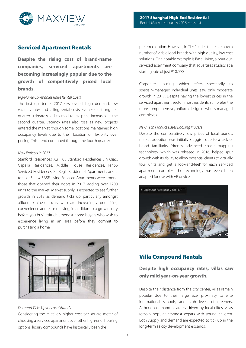

# **Serviced Apartment Rentals**

**Despite the rising cost of brand-name companies, serviced apartments are becoming increasingly popular due to the growth of competitively priced local brands.** 

## Big-Name Companies Raise Rental Costs

The first quarter of 2017 saw overall high demand, low vacancy rates and falling rental costs. Even so, a strong first quarter ultimately led to mild rental price increases in the second quarter. Vacancy rates also rose as new projects entered the market, though some locations maintained high occupancy levels due to their location or flexibility over pricing. This trend continued through the fourth quarter.

## New Projects in 2017

Stanford Residences Xu Hui, Stanford Residences Jin Qiao, Capella Residences, Middle House Residences, Ten66 Serviced Residences, St. Regis Residential Apartments and a total of 3 new BASE Living Serviced Apartments were among those that opened their doors in 2017, adding over 1200 units to the market. Market supply is expected to see further growth in 2018 as demand ticks up, particularly amongst affluent Chinese locals who are increasingly prioritizing convenience and ease of living, in addition to a growing 'try before you buy' attitude amongst home buyers who wish to experience living in an area before they commit to purchasing a home.



Demand Ticks Up for Local Brands

Considering the relatively higher cost per square meter of choosing a serviced apartment over other high-end housing options, luxury compounds have historically been the

preferred option. However, in Tier 1 cities there are now a number of viable local brands with high quality, low cost solutions. One notable example is Base Living, a boutique serviced apartment company that advertises studios at a starting rate of just ¥10,000.

Corporate housing, which refers specifically to specially-managed individual units, saw only moderate growth in 2017. Despite having the lowest prices in the serviced apartment sector, most residents still prefer the more comprehensive, uniform design of wholly managed complexes.

#### New Tech Product Eases Booking Process

Despite the comparatively low prices of local brands, market adoption was initially sluggish due to a lack of brand familiarity. Yirent's advanced space mapping technology, which was released in 2016, helped spur growth with its ability to allow potential clients to virtually tour units and get a 'look-and-feel' for each serviced apartment complex. The technology has even been adapted for use with VR devices.



# **Villa Compound Rentals**

# **Despite high occupancy rates, villas saw only mild year-on-year growth.**

Despite their distance from the city center, villas remain popular due to their large size, proximity to elite international schools, and high levels of greenery. Although demand is largely driven by local elites, villas remain popular amongst expats with young children. Both supply and demand are expected to tick up in the long-term as city development expands.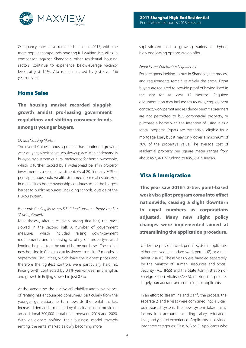

Occupancy rates have remained stable in 2017, with the more popular compounds boasting full waiting lists. Villas, in comparison against Shanghai's other residential housing sectors, continue to experience below-average vacancy levels at just 1.1%. Villa rents increased by just over 1% year-on-year.

# **Home Sales**

**The housing market recorded sluggish growth amidst pro-leasing government regulations and shifting consumer trends amongst younger buyers.** 

#### Overall Housing Market

The overall Chinese housing market has continued growing year-on-year, albeit at a much slower place. Market demand is buoyed by a strong cultural preference for home ownership, which is further backed by a widespread belief in property investment as a secure investment. As of 2015 nearly 70% of per capita household wealth stemmed from real estate. And in many cities home ownership continues to be the biggest barrier to public resources, including schools, outside of the Hukou system.

## Economic Cooling Measures & Shifting Consumer Trends Lead to Slowing Growth

Nevertheless, after a relatively strong first half, the pace slowed in the second half. A number of government measures, which included raising down-payment requirements and increasing scrutiny on property-related lending, helped stem the rate of home purchases. The cost of new housing in China rose at its slowest pace in 17 months in September. Tier I cities, which have the highest prices and therefore the tightest controls, were particularly hard hit. Price growth contracted by 0.1% year-on-year in Shanghai, and growth in Beijing slowed to just 0.5%.

At the same time, the relative affordability and convenience of renting has encouraged consumers, particularly from the younger generation, to turn towards the rental market. Increased demand is matched by the city's goal of providing an additional 700,000 rental units between 2016 and 2020. With developers shifting their business model towards renting, the rental market is slowly becoming more

sophisticated and a growing variety of hybrid, high-end leasing options are on offer.

#### Expat Home Purchasing Regulations

For foreigners looking to buy in Shanghai, the process and requirements remain relatively the same. Expat buyers are required to provide proof of having lived in the city for at least 12 months. Required documentation may include tax records, employment contract, work permit and residency permit. Foreigners are not permitted to buy commercial property, or purchase a home with the intention of using it as a rental property. Expats are potentially eligible for a mortgage loan, but it may only cover a maximum of 70% of the property's value. The average cost of residential property per square meter ranges from about ¥57,840 in Pudong to ¥95,359 in Jing'an.

# **Visa & Immigration**

**This year saw 2016's 3-tier, point-based work visa pilot program come into effect nationwide, causing a slight downturn in expat numbers as corporations adjusted. Many new slight policy changes were implemented aimed at streamlining the application procedure.**

Under the previous work permit system, applicants either received a standard work permit (Z) or a rare talent visa (R). These visas were handled separately by the Ministry of Human Resources and Social Security (MOHRSS) and the State Administration of Foreign Expert Affairs (SAFEA), making the process largely bureaucratic and confusing for applicants.

In an effort to streamline and clarify the process, the separate Z and R visas were combined into a 3-tier, point-based system. The new system takes many factors into account, including salary, education level, and years of experience. Applicants are divided into three categories: Class A, B or C. Applicants who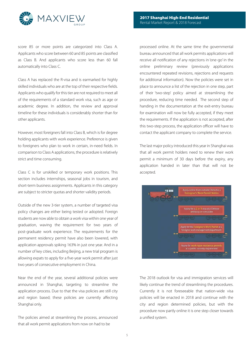

score 85 or more points are categorized into Class A. Applicants who score between 60 and 85 points are classified as Class B. And applicants who score less than 60 fall automatically into Class C.

Class A has replaced the R-visa and is earmarked for highly skilled individuals who are at the top of their respective fields. Applicants who qualify for this tier are not required to meet all of the requirements of a standard work visa, such as age or academic degree. In addition, the review and approval timeline for these individuals is considerably shorter than for other applicants.

However, most foreigners fall into Class B, which is for degree holding applicants with work experience. Preference is given to foreigners who plan to work in certain, in-need fields. In comparison to Class A applications, the procedure is relatively strict and time consuming.

Class C is for unskilled or temporary work positions. This section includes internships, seasonal jobs in tourism, and short-term business assignments. Applicants in this category are subject to stricter quotas and shorter validity periods.

Outside of the new 3-tier system, a number of targeted visa policy changes are either being tested or adopted. Foreign students are now able to obtain a work visa within one year of graduation, waving the requirement for two years of post-graduate work experience. The requirements for the permanent residency permit have also been lowered, with application approvals spiking 163% in just one year. And in a number of key cities, including Beijing, a new trial program is allowing expats to apply for a five-year work permit after just two years of consecutive employment in China.

Near the end of the year, several additional policies were announced in Shanghai, targeting to streamline the application process. Due to that the visa policies are still city and region based; these policies are currently affecting Shanghai only.

The policies aimed at streamlining the process, announced that all work permit applications from now on had to be

processed online. At the same time the governmental bureau announced that all work permits applications will receive all notification of any rejections in 'one-go' in the online preliminary review (previously applications encountered repeated revisions, rejections and requests for additional information). Now the policies were set in place to announce a list of the rejection in one step, part of their 'two-step' policy aimed at streamlining the procedure, reducing time needed. The second step of handing in the documentation at the exit-entry bureau for examination will now be fully accepted, if they meet the requirements. If the application is not accepted, after this two-step process, the application officer will have to contact the applicant company to complete the service.

The last major policy introduced this year in Shanghai was that all work permit holders need to renew their work permit a minimum of 30 days before the expiry, any application handed in later than that will not be accepted.



The 2018 outlook for visa and immigration services will likely continue the trend of streamlining the procedures. Currently it is not foreseeable that nation-wide visa policies will be enacted in 2018 and continue with the city and region determined policies, but with the procedure now partly online it is one step closer towards a unified system.